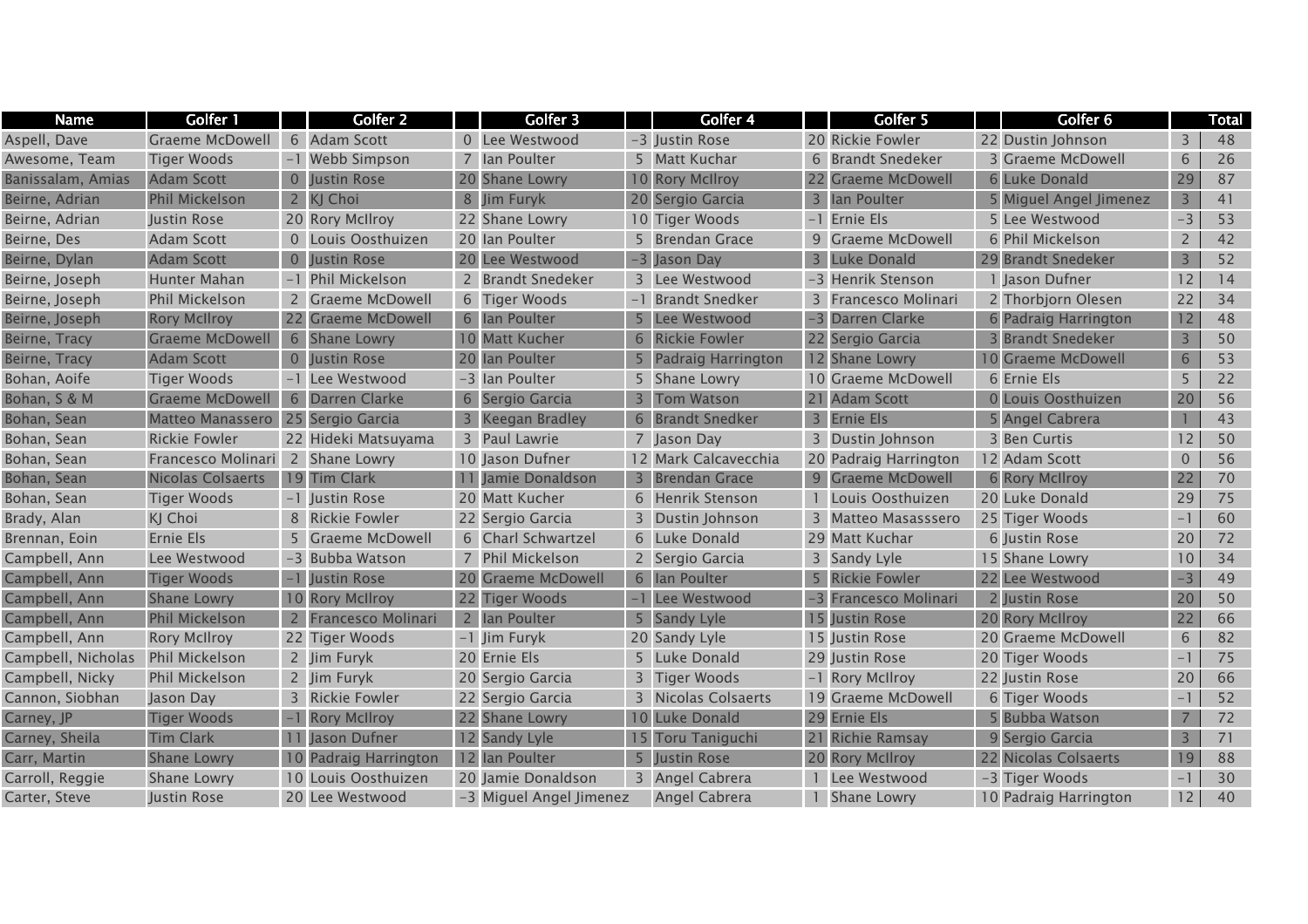| <b>Name</b>        | Golfer 1                            |                | Golfer 2               | Golfer 3                |                | Golfer 4                  | Golfer 5              | Golfer 6               |                | Total |
|--------------------|-------------------------------------|----------------|------------------------|-------------------------|----------------|---------------------------|-----------------------|------------------------|----------------|-------|
| Aspell, Dave       | <b>Graeme McDowell</b>              |                | 6 Adam Scott           | 0 Lee Westwood          |                | -3 Justin Rose            | 20 Rickie Fowler      | 22 Dustin Johnson      | 3              | 48    |
| Awesome, Team      | <b>Tiger Woods</b>                  |                | -1 Webb Simpson        | 7 Ian Poulter           |                | 5 Matt Kuchar             | 6 Brandt Snedeker     | 3 Graeme McDowell      | $\sqrt{6}$     | 26    |
| Banissalam, Amias  | <b>Adam Scott</b>                   | $\overline{0}$ | Justin Rose            | 20 Shane Lowry          |                | 10 Rory McIlroy           | 22 Graeme McDowell    | 6 Luke Donald          | 29             | 87    |
| Beirne, Adrian     | <b>Phil Mickelson</b>               |                | 2 KJ Choi              | 8 Jim Furyk             |                | 20 Sergio Garcia          | 3 Ian Poulter         | 5 Miguel Angel Jimenez | $\overline{3}$ | 41    |
| Beirne, Adrian     | Justin Rose                         |                | 20 Rory McIlroy        | 22 Shane Lowry          |                | 10 Tiger Woods            | -1 Ernie Els          | 5 Lee Westwood         | $-3$           | 53    |
| Beirne, Des        | <b>Adam Scott</b>                   |                | 0 Louis Oosthuizen     | 20 Ian Poulter          |                | 5 Brendan Grace           | 9 Graeme McDowell     | 6 Phil Mickelson       | $\overline{2}$ | 42    |
| Beirne, Dylan      | <b>Adam Scott</b>                   | $\overline{0}$ | Justin Rose            | 20 Lee Westwood         |                | -3 Jason Day              | 3 Luke Donald         | 29 Brandt Snedeker     | $\overline{3}$ | 52    |
| Beirne, Joseph     | Hunter Mahan                        |                | -1 Phil Mickelson      | 2 Brandt Snedeker       |                | 3 Lee Westwood            | -3 Henrik Stenson     | 1 Jason Dufner         | 12             | 14    |
| Beirne, Joseph     | Phil Mickelson                      | $\overline{2}$ | <b>Graeme McDowell</b> | 6 Tiger Woods           |                | <b>Brandt Snedker</b>     | 3 Francesco Molinari  | 2 Thorbjorn Olesen     | 22             | 34    |
| Beirne, Joseph     | <b>Rory McIlroy</b>                 | 22             | <b>Graeme McDowell</b> | 6 Ian Poulter           |                | Lee Westwood              | -3 Darren Clarke      | 6 Padraig Harrington   | 12             | 48    |
| Beirne, Tracy      | Graeme McDowell                     |                | 6 Shane Lowry          | 10 Matt Kucher          | 6              | <b>Rickie Fowler</b>      | 22 Sergio Garcia      | <b>Brandt Snedeker</b> | 3              | 50    |
| Beirne, Tracy      | <b>Adam Scott</b>                   |                | 0 Justin Rose          | 20 Ian Poulter          | 5              | <b>Padraig Harrington</b> | 12 Shane Lowry        | 10 Graeme McDowell     | 6              | 53    |
| Bohan, Aoife       | <b>Tiger Woods</b>                  |                | -1 Lee Westwood        | -3 Ian Poulter          |                | 5 Shane Lowry             | 10 Graeme McDowell    | 6 Ernie Els            | 5              | 22    |
| Bohan, S & M       | <b>Graeme McDowell</b>              |                | 6 Darren Clarke        | 6 Sergio Garcia         | $\overline{3}$ | <b>Tom Watson</b>         | 21 Adam Scott         | 0 Louis Oosthuizen     | 20             | 56    |
| Bohan, Sean        | Matteo Manassero   25 Sergio Garcia |                |                        | 3 Keegan Bradley        | 6              | <b>Brandt Snedker</b>     | 3 Ernie Els           | 5 Angel Cabrera        |                | 43    |
| Bohan, Sean        | <b>Rickie Fowler</b>                |                | 22 Hideki Matsuyama    | 3 Paul Lawrie           |                | 7 Jason Day               | 3 Dustin Johnson      | 3 Ben Curtis           | 12             | 50    |
| Bohan, Sean        | Francesco Molinari                  |                | 2 Shane Lowry          | 10 Jason Dufner         |                | 12 Mark Calcavecchia      | 20 Padraig Harrington | 12 Adam Scott          | $\mathbf{0}$   | 56    |
| Bohan, Sean        | <b>Nicolas Colsaerts</b>            |                | 19 Tim Clark           | Jamie Donaldson         | 3              | <b>Brendan Grace</b>      | 9 Graeme McDowell     | 6 Rory McIlroy         | 22             | 70    |
| Bohan, Sean        | <b>Tiger Woods</b>                  |                | -1 Justin Rose         | 20 Matt Kucher          |                | 6 Henrik Stenson          | 1 Louis Oosthuizen    | 20 Luke Donald         | 29             | 75    |
| Brady, Alan        | KJ Choi                             |                | 8 Rickie Fowler        | 22 Sergio Garcia        |                | 3 Dustin Johnson          | 3 Matteo Masasssero   | 25 Tiger Woods         | $-1$           | 60    |
| Brennan, Eoin      | Ernie Els                           | 5              | <b>Graeme McDowell</b> | 6 Charl Schwartzel      |                | 6 Luke Donald             | 29 Matt Kuchar        | 6 Justin Rose          | 20             | 72    |
| Campbell, Ann      | Lee Westwood                        |                | -3 Bubba Watson        | Phil Mickelson          |                | 2 Sergio Garcia           | 3 Sandy Lyle          | 15 Shane Lowry         | 10             | 34    |
| Campbell, Ann      | <b>Tiger Woods</b>                  | $-1$           | Justin Rose            | 20 Graeme McDowell      |                | 6 Ian Poulter             | 5 Rickie Fowler       | 22 Lee Westwood        | $-3$           | 49    |
| Campbell, Ann      | <b>Shane Lowry</b>                  |                | 10 Rory McIlroy        | 22 Tiger Woods          |                | Lee Westwood              | -3 Francesco Molinari | 2 Justin Rose          | 20             | 50    |
| Campbell, Ann      | <b>Phil Mickelson</b>               |                | Francesco Molinari     | 2 Ian Poulter           |                | <b>Sandy Lyle</b>         | 15 Iustin Rose        | 20 Rory McIlroy        | 22             | 66    |
| Campbell, Ann      | <b>Rory McIlroy</b>                 |                | 22 Tiger Woods         | -1 Jim Furyk            |                | 20 Sandy Lyle             | 15 Justin Rose        | 20 Graeme McDowell     | 6              | 82    |
| Campbell, Nicholas | <b>Phil Mickelson</b>               |                | 2 Jim Furyk            | 20 Ernie Els            |                | 5 Luke Donald             | 29 Justin Rose        | 20 Tiger Woods         | $-1$           | 75    |
| Campbell, Nicky    | Phil Mickelson                      |                | 2 Jim Furyk            | 20 Sergio Garcia        |                | 3 Tiger Woods             | -1 Rory McIlroy       | 22 Justin Rose         | 20             | 66    |
| Cannon, Siobhan    | Jason Day                           |                | 3 Rickie Fowler        | 22 Sergio Garcia        |                | 3 Nicolas Colsaerts       | 19 Graeme McDowell    | 6 Tiger Woods          | $-1$           | 52    |
| Carney, JP         | <b>Tiger Woods</b>                  |                | -1 Rory McIlroy        | 22 Shane Lowry          |                | 10 Luke Donald            | 29 Ernie Els          | 5 Bubba Watson         | 7              | 72    |
| Carney, Sheila     | <b>Tim Clark</b>                    |                | 11 Jason Dufner        | 12 Sandy Lyle           | 15             | Toru Taniguchi            | 21 Richie Ramsay      | 9 Sergio Garcia        | 3              | 71    |
| Carr, Martin       | <b>Shane Lowry</b>                  | 10             | Padraig Harrington     | 12 Ian Poulter          | 5              | Justin Rose               | 20 Rory McIlroy       | 22 Nicolas Colsaerts   | 19             | 88    |
| Carroll, Reggie    | <b>Shane Lowry</b>                  |                | 10 Louis Oosthuizen    | 20 Jamie Donaldson      |                | 3 Angel Cabrera           | Lee Westwood          | -3 Tiger Woods         | $-1$           | 30    |
| Carter, Steve      | Justin Rose                         |                | 20 Lee Westwood        | -3 Miguel Angel Jimenez |                | Angel Cabrera             | 1 Shane Lowry         | 10 Padraig Harrington  | 12             | 40    |
|                    |                                     |                |                        |                         |                |                           |                       |                        |                |       |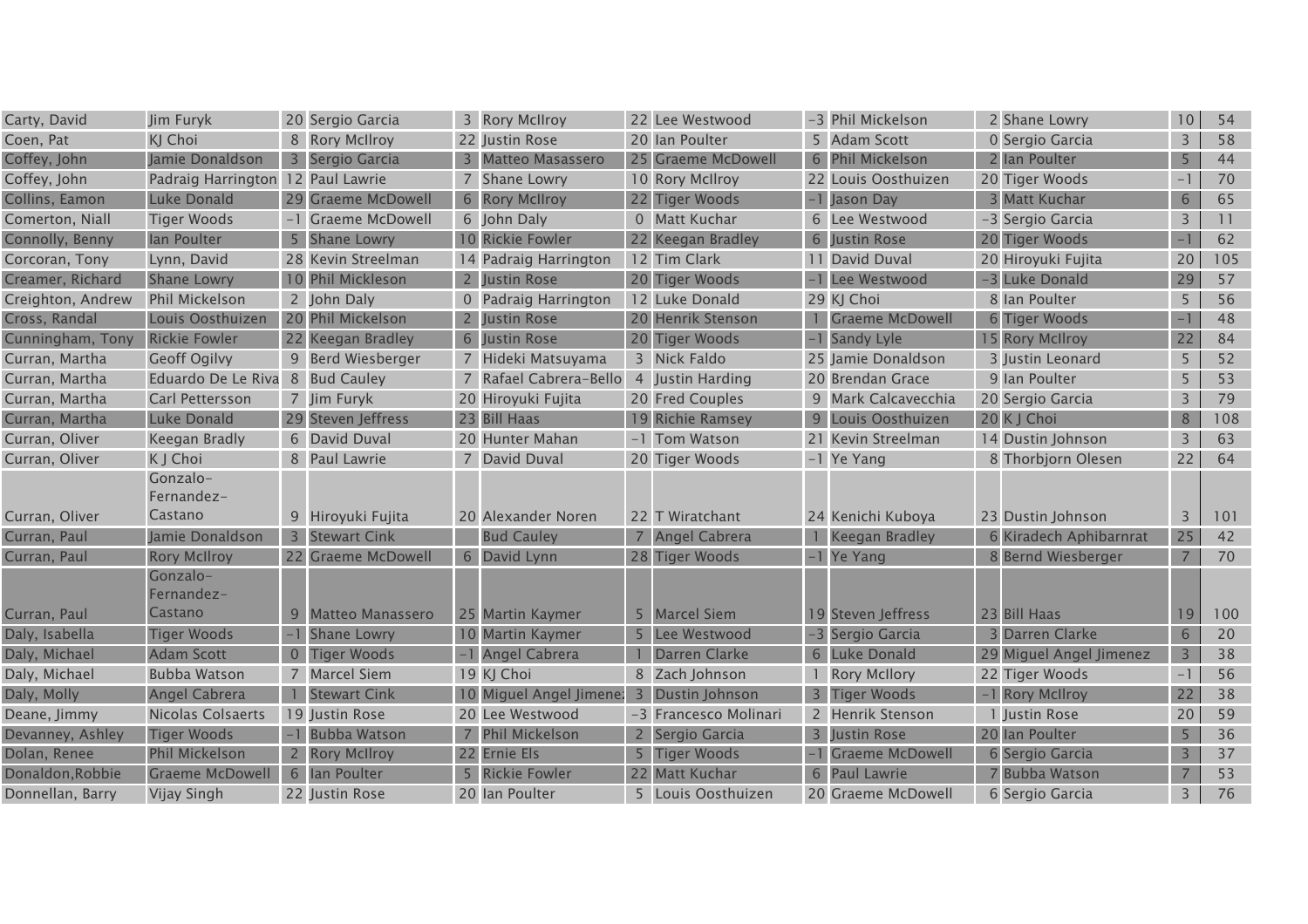| Carty, David      | Jim Furyk                         |   | 20 Sergio Garcia        | 3 Rory McIIroy          |   | 22 Lee Westwood       | -3 Phil Mickelson     | 2 Shane Lowry           | 10 <sup>°</sup> | 54  |
|-------------------|-----------------------------------|---|-------------------------|-------------------------|---|-----------------------|-----------------------|-------------------------|-----------------|-----|
| Coen, Pat         | KJ Choi                           |   | 8 Rory McIlroy          | 22 Justin Rose          |   | 20 Ian Poulter        | 5 Adam Scott          | 0 Sergio Garcia         | $\overline{3}$  | 58  |
| Coffey, John      | Jamie Donaldson                   |   | 3 Sergio Garcia         | 3 Matteo Masassero      |   | 25 Graeme McDowell    | 6 Phil Mickelson      | 2 Ian Poulter           | 5               | 44  |
| Coffey, John      | Padraig Harrington 12 Paul Lawrie |   |                         | 7 Shane Lowry           |   | 10 Rory McIlroy       | 22 Louis Oosthuizen   | 20 Tiger Woods          | $-1$            | 70  |
| Collins, Eamon    | Luke Donald                       |   | 29 Graeme McDowell      | 6 Rory McIIroy          |   | 22 Tiger Woods        | -1 Jason Day          | 3 Matt Kuchar           | 6               | 65  |
| Comerton, Niall   | <b>Tiger Woods</b>                |   | -1 Graeme McDowell      | 6 John Daly             |   | 0 Matt Kuchar         | 6 Lee Westwood        | -3 Sergio Garcia        | 3               | 11  |
| Connolly, Benny   | lan Poulter                       |   | 5 Shane Lowry           | 10 Rickie Fowler        |   | 22 Keegan Bradley     | 6 Justin Rose         | 20 Tiger Woods          | $-1$            | 62  |
| Corcoran, Tony    | Lynn, David                       |   | 28 Kevin Streelman      | 14 Padraig Harrington   |   | 12 Tim Clark          | 11 David Duval        | 20 Hiroyuki Fujita      | 20              | 105 |
| Creamer, Richard  | <b>Shane Lowry</b>                |   | 10 Phil Mickleson       | 2 Justin Rose           |   | 20 Tiger Woods        | -1 Lee Westwood       | -3 Luke Donald          | 29              | 57  |
| Creighton, Andrew | Phil Mickelson                    |   | 2 John Daly             | 0 Padraig Harrington    |   | 12 Luke Donald        | 29 KJ Choi            | 8 Ian Poulter           | 5               | 56  |
| Cross, Randal     | Louis Oosthuizen                  |   | 20 Phil Mickelson       | <b>Justin Rose</b>      |   | 20 Henrik Stenson     | 1 Graeme McDowell     | 6 Tiger Woods           | $-1$            | 48  |
| Cunningham, Tony  | <b>Rickie Fowler</b>              |   | 22 Keegan Bradley       | 6 Justin Rose           |   | 20 Tiger Woods        | -1 Sandy Lyle         | 15 Rory McIlroy         | 22              | 84  |
| Curran, Martha    | <b>Geoff Ogilvy</b>               |   | 9 Berd Wiesberger       | 7 Hideki Matsuyama      |   | 3 Nick Faldo          | 25 Jamie Donaldson    | 3 Justin Leonard        | 5               | 52  |
| Curran, Martha    | Eduardo De Le Riva 8 Bud Cauley   |   |                         | 7 Rafael Cabrera-Bello  |   | 4 Justin Harding      | 20 Brendan Grace      | 9 Ian Poulter           | 5               | 53  |
| Curran, Martha    | Carl Pettersson                   |   | 7 Jim Furyk             | 20 Hiroyuki Fujita      |   | 20 Fred Couples       | 9 Mark Calcavecchia   | 20 Sergio Garcia        | $\overline{3}$  | 79  |
| Curran, Martha    | <b>Luke Donald</b>                |   | 29 Steven Jeffress      | 23 Bill Haas            |   | 19 Richie Ramsey      | 9 Louis Oosthuizen    | 20 K J Choi             | $8\phantom{1}$  | 108 |
| Curran, Oliver    | Keegan Bradly                     |   | 6 David Duval           | 20 Hunter Mahan         |   | -1 Tom Watson         | 21 Kevin Streelman    | 14 Dustin Johnson       | 3               | 63  |
| Curran, Oliver    | K J Choi                          |   | 8 Paul Lawrie           | 7 David Duval           |   | 20 Tiger Woods        | -1 Ye Yang            | 8 Thorbjorn Olesen      | 22              | 64  |
|                   | Gonzalo-                          |   |                         |                         |   |                       |                       |                         |                 |     |
|                   | Fernandez-                        |   |                         |                         |   |                       |                       |                         |                 |     |
| Curran, Oliver    | Castano                           |   | 9 Hiroyuki Fujita       | 20 Alexander Noren      |   | 22 T Wiratchant       | 24 Kenichi Kuboya     | 23 Dustin Johnson       | 3               | 101 |
| Curran, Paul      | Jamie Donaldson                   |   | 3 Stewart Cink          | <b>Bud Cauley</b>       |   | 7 Angel Cabrera       | <b>Keegan Bradley</b> | 6 Kiradech Aphibarnrat  | 25              | 42  |
| Curran, Paul      | <b>Rory McIlroy</b>               |   | 22 Graeme McDowell      | 6 David Lynn            |   | 28 Tiger Woods        | -1 Ye Yang            | 8 Bernd Wiesberger      | $\overline{7}$  | 70  |
|                   | Gonzalo-                          |   |                         |                         |   |                       |                       |                         |                 |     |
|                   | Fernandez-                        |   |                         |                         |   |                       |                       |                         |                 |     |
| Curran, Paul      | Castano                           | 9 | <b>Matteo Manassero</b> | 25 Martin Kaymer        | 5 | <b>Marcel Siem</b>    | 19 Steven Jeffress    | 23 Bill Haas            | 19              | 100 |
| Daly, Isabella    | <b>Tiger Woods</b>                |   | Shane Lowry             | 10 Martin Kaymer        |   | Lee Westwood          | -3 Sergio Garcia      | Darren Clarke           | 6               | 20  |
| Daly, Michael     | <b>Adam Scott</b>                 |   | <b>Tiger Woods</b>      | -1 Angel Cabrera        |   | Darren Clarke         | 6 Luke Donald         | 29 Miguel Angel Jimenez | $\overline{3}$  | 38  |
| Daly, Michael     | <b>Bubba Watson</b>               |   | 7 Marcel Siem           | 19 KJ Choi              |   | 8 Zach Johnson        | <b>Rory McIlory</b>   | 22 Tiger Woods          | $-1$            | 56  |
| Daly, Molly       | Angel Cabrera                     |   | 1 Stewart Cink          | 10 Miguel Angel Jimene: |   | 3 Dustin Johnson      | 3 Tiger Woods         | -1 Rory McIlroy         | 22              | 38  |
| Deane, Jimmy      | Nicolas Colsaerts                 |   | 19 Justin Rose          | 20 Lee Westwood         |   | -3 Francesco Molinari | 2 Henrik Stenson      | 1 Justin Rose           | 20              | 59  |
| Devanney, Ashley  | <b>Tiger Woods</b>                |   | -1 Bubba Watson         | <b>Phil Mickelson</b>   |   | Sergio Garcia         | 3 Justin Rose         | 20 Ian Poulter          | 5               | 36  |
| Dolan, Renee      | <b>Phil Mickelson</b>             |   | 2 Rory McIlroy          | 22 Ernie Els            | 5 | <b>Tiger Woods</b>    | Graeme McDowell       | 6 Sergio Garcia         | 3               | 37  |
| Donaldon, Robbie  | <b>Graeme McDowell</b>            |   | 6 Ian Poulter           | 5 Rickie Fowler         |   | 22 Matt Kuchar        | 6 Paul Lawrie         | 7 Bubba Watson          |                 | 53  |
| Donnellan, Barry  | Vijay Singh                       |   | 22 Justin Rose          | 20 Ian Poulter          |   | 5 Louis Oosthuizen    | 20 Graeme McDowell    | 6 Sergio Garcia         | 3               | 76  |
|                   |                                   |   |                         |                         |   |                       |                       |                         |                 |     |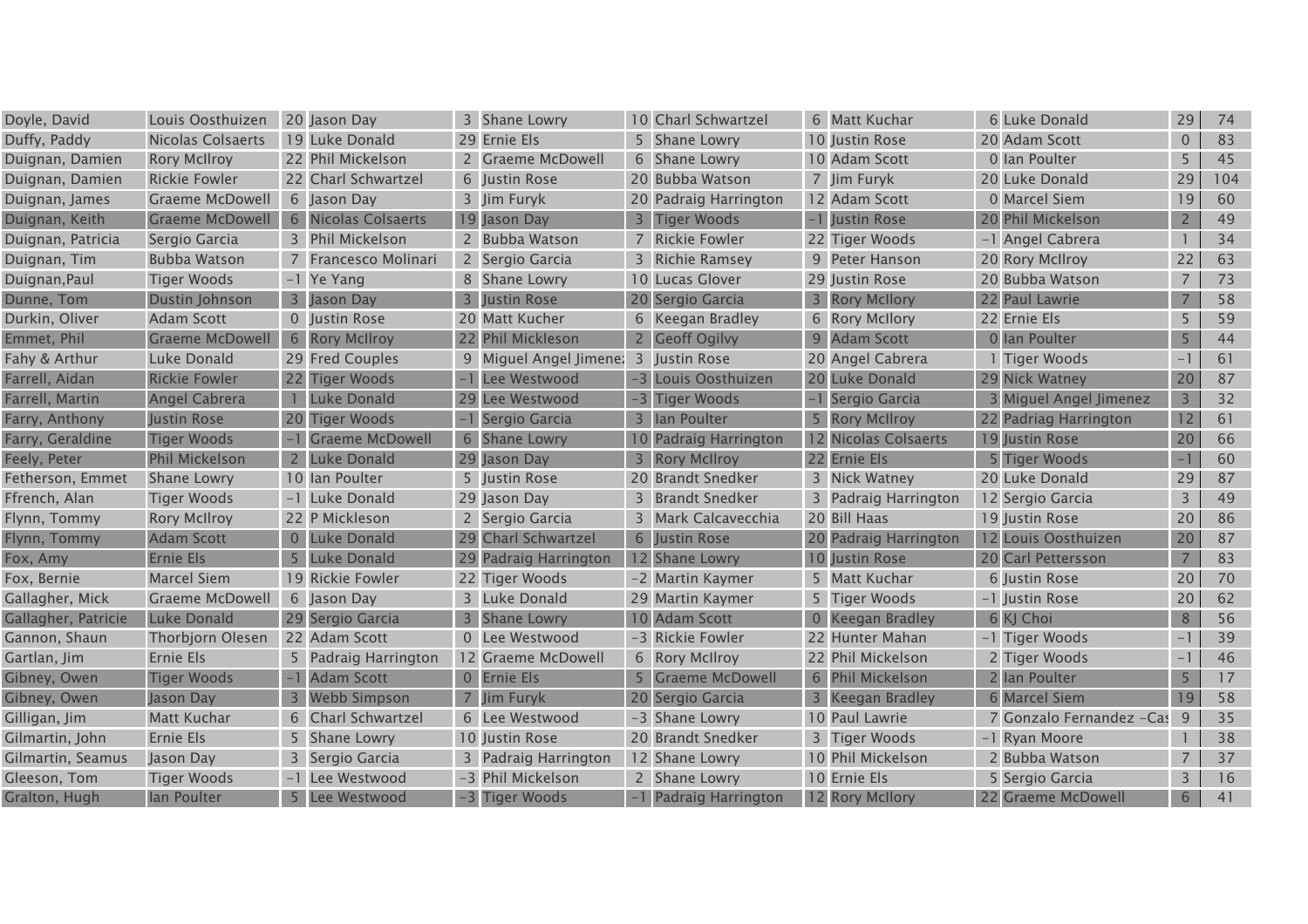| Doyle, David        | Louis Oosthuizen         |       | 20 Jason Day           | 3            | Shane Lowry               |   | 10 Charl Schwartzel   | 6 Matt Kuchar         | 6 Luke Donald             | 29                       | 74  |
|---------------------|--------------------------|-------|------------------------|--------------|---------------------------|---|-----------------------|-----------------------|---------------------------|--------------------------|-----|
| Duffy, Paddy        | <b>Nicolas Colsaerts</b> |       | 19 Luke Donald         |              | 29 Ernie Els              | 5 | Shane Lowry           | 10 Justin Rose        | 20 Adam Scott             | $\overline{0}$           | 83  |
| Duignan, Damien     | <b>Rory McIlroy</b>      |       | 22 Phil Mickelson      |              | <b>Graeme McDowell</b>    |   | 6 Shane Lowry         | 10 Adam Scott         | 0 Ian Poulter             | 5                        | 45  |
| Duignan, Damien     | <b>Rickie Fowler</b>     |       | 22 Charl Schwartzel    |              | 6 Justin Rose             |   | 20 Bubba Watson       | 7 Jim Furyk           | 20 Luke Donald            | 29                       | 104 |
| Duignan, James      | <b>Graeme McDowell</b>   |       | 6 Jason Day            |              | 3 Jim Furyk               |   | 20 Padraig Harrington | 12 Adam Scott         | 0 Marcel Siem             | 19                       | 60  |
| Duignan, Keith      | <b>Graeme McDowell</b>   |       | 6 Nicolas Colsaerts    |              | 19 Jason Day              |   | 3 Tiger Woods         | -1 Justin Rose        | 20 Phil Mickelson         | $2^{\circ}$              | 49  |
| Duignan, Patricia   | Sergio Garcia            |       | 3 Phil Mickelson       |              | 2 Bubba Watson            |   | 7 Rickie Fowler       | 22 Tiger Woods        | -1 Angel Cabrera          |                          | 34  |
| Duignan, Tim        | <b>Bubba Watson</b>      |       | Francesco Molinari     |              | 2 Sergio Garcia           |   | 3 Richie Ramsey       | 9 Peter Hanson        | 20 Rory McIlroy           | 22                       | 63  |
| Duignan, Paul       | Tiger Woods              |       | -1 Ye Yang             |              | 8 Shane Lowry             |   | 10 Lucas Glover       | 29 Justin Rose        | 20 Bubba Watson           | $\overline{7}$           | 73  |
| Dunne, Tom          | Dustin Johnson           | 3     | Jason Day              |              | Justin Rose               |   | 20 Sergio Garcia      | 3 Rory McIlory        | 22 Paul Lawrie            |                          | 58  |
| Durkin, Oliver      | <b>Adam Scott</b>        |       | 0 Justin Rose          |              | 20 Matt Kucher            |   | 6 Keegan Bradley      | 6 Rory McIlory        | 22 Ernie Els              | 5                        | 59  |
| Emmet, Phil         | <b>Graeme McDowell</b>   |       | 6 Rory McIlroy         |              | 22 Phil Mickleson         |   | 2 Geoff Ogilyy        | 9 Adam Scott          | 0 Ian Poulter             | 5                        | 44  |
| Fahy & Arthur       | Luke Donald              |       | 29 Fred Couples        |              | 9 Miguel Angel Jimene:    |   | 3 Justin Rose         | 20 Angel Cabrera      | 1 Tiger Woods             | $-1$                     | 61  |
| Farrell, Aidan      | <b>Rickie Fowler</b>     |       | 22 Tiger Woods         |              | Lee Westwood              |   | -3 Louis Oosthuizen   | 20 Luke Donald        | 29 Nick Watney            | 20                       | 87  |
| Farrell, Martin     | Angel Cabrera            |       | Luke Donald            | 29           | Lee Westwood              |   | -3 Tiger Woods        | -1 Sergio Garcia      | 3 Miguel Angel Jimenez    | $\overline{3}$           | 32  |
| Farry, Anthony      | <b>Justin Rose</b>       |       | 20 Tiger Woods         |              | Sergio Garcia             |   | 3 Ian Poulter         | 5 Rory McIlroy        | 22 Padriag Harrington     | 12                       | 61  |
| Farry, Geraldine    | <b>Tiger Woods</b>       |       | <b>Graeme McDowell</b> | 6            | <b>Shane Lowry</b>        |   | 10 Padraig Harrington | 12 Nicolas Colsaerts  | 19 Justin Rose            | 20                       | 66  |
| Feely, Peter        | <b>Phil Mickelson</b>    |       | Luke Donald            | 29           | Jason Day                 |   | <b>Rory McIlroy</b>   | 22 Ernie Els          | 5 Tiger Woods             | $-1$                     | 60  |
| Fetherson, Emmet    | <b>Shane Lowry</b>       |       | 10 Ian Poulter         |              | 5 Justin Rose             |   | 20 Brandt Snedker     | 3 Nick Watney         | 20 Luke Donald            | 29                       | 87  |
| Ffrench, Alan       | <b>Tiger Woods</b>       |       | -1 Luke Donald         |              | 29 Jason Day              |   | 3 Brandt Snedker      | 3 Padraig Harrington  | 12 Sergio Garcia          | 3                        | 49  |
| Flynn, Tommy        | <b>Rory McIlroy</b>      |       | 22 P Mickleson         |              | 2 Sergio Garcia           |   | 3 Mark Calcavecchia   | 20 Bill Haas          | 19 Justin Rose            | 20                       | 86  |
| Flynn, Tommy        | Adam Scott               | $0-1$ | Luke Donald            | 29           | <b>Charl Schwartzel</b>   |   | 6 Justin Rose         | 20 Padraig Harrington | 12 Louis Oosthuizen       | 20                       | 87  |
| Fox, Amy            | <b>Ernie Els</b>         | 5     | Luke Donald            | 29           | <b>Padraig Harrington</b> |   | 12 Shane Lowry        | 10 Justin Rose        | 20 Carl Pettersson        | $\overline{7}$           | 83  |
| Fox, Bernie         | <b>Marcel Siem</b>       |       | 19 Rickie Fowler       |              | 22 Tiger Woods            |   | -2 Martin Kaymer      | 5 Matt Kuchar         | 6 Justin Rose             | 20                       | 70  |
| Gallagher, Mick     | <b>Graeme McDowell</b>   |       | 6 Jason Day            | $\mathbf{3}$ | Luke Donald               |   | 29 Martin Kaymer      | 5 Tiger Woods         | -1 Justin Rose            | 20                       | 62  |
| Gallagher, Patricie | Luke Donald              |       | 29 Sergio Garcia       |              | <b>Shane Lowry</b>        |   | 10 Adam Scott         | 0 Keegan Bradley      | 6 KJ Choi                 | 8                        | 56  |
| Gannon, Shaun       | Thorbjorn Olesen         |       | 22 Adam Scott          |              | 0 Lee Westwood            |   | -3 Rickie Fowler      | 22 Hunter Mahan       | -1 Tiger Woods            | $\blacksquare$           | 39  |
| Gartlan, Jim        | Ernie Els                |       | 5 Padraig Harrington   |              | 12 Graeme McDowell        |   | 6 Rory McIlroy        | 22 Phil Mickelson     | 2 Tiger Woods             | $\overline{\phantom{0}}$ | 46  |
| Gibney, Owen        | <b>Tiger Woods</b>       |       | <b>Adam Scott</b>      |              | 0 Ernie Els               |   | 5 Graeme McDowell     | 6 Phil Mickelson      | 2 Ian Poulter             | 5                        | 17  |
| Gibney, Owen        | Jason Day                | 3     | Webb Simpson           |              | Jim Furyk                 |   | 20 Sergio Garcia      | 3 Keegan Bradley      | 6 Marcel Siem             | 19                       | 58  |
| Gilligan, Jim       | <b>Matt Kuchar</b>       |       | 6 Charl Schwartzel     |              | 6 Lee Westwood            |   | -3 Shane Lowry        | 10 Paul Lawrie        | 7 Gonzalo Fernandez - Cas | 9                        | 35  |
| Gilmartin, John     | Ernie Els                |       | 5 Shane Lowry          |              | 10 Justin Rose            |   | 20 Brandt Snedker     | 3 Tiger Woods         | -1 Ryan Moore             |                          | 38  |
| Gilmartin, Seamus   | Jason Day                |       | Sergio Garcia          |              | Padraig Harrington        |   | 12 Shane Lowry        | 10 Phil Mickelson     | 2 Bubba Watson            |                          | 37  |
| Gleeson, Tom        | <b>Tiger Woods</b>       |       | -1 Lee Westwood        |              | -3 Phil Mickelson         |   | 2 Shane Lowry         | 10 Ernie Els          | 5 Sergio Garcia           | 3                        | 16  |
| Gralton, Hugh       | lan Poulter              |       | 5 Lee Westwood         |              | -3 Tiger Woods            |   | -1 Padraig Harrington | 12 Rory McIlory       | 22 Graeme McDowell        | 6                        | 41  |
|                     |                          |       |                        |              |                           |   |                       |                       |                           |                          |     |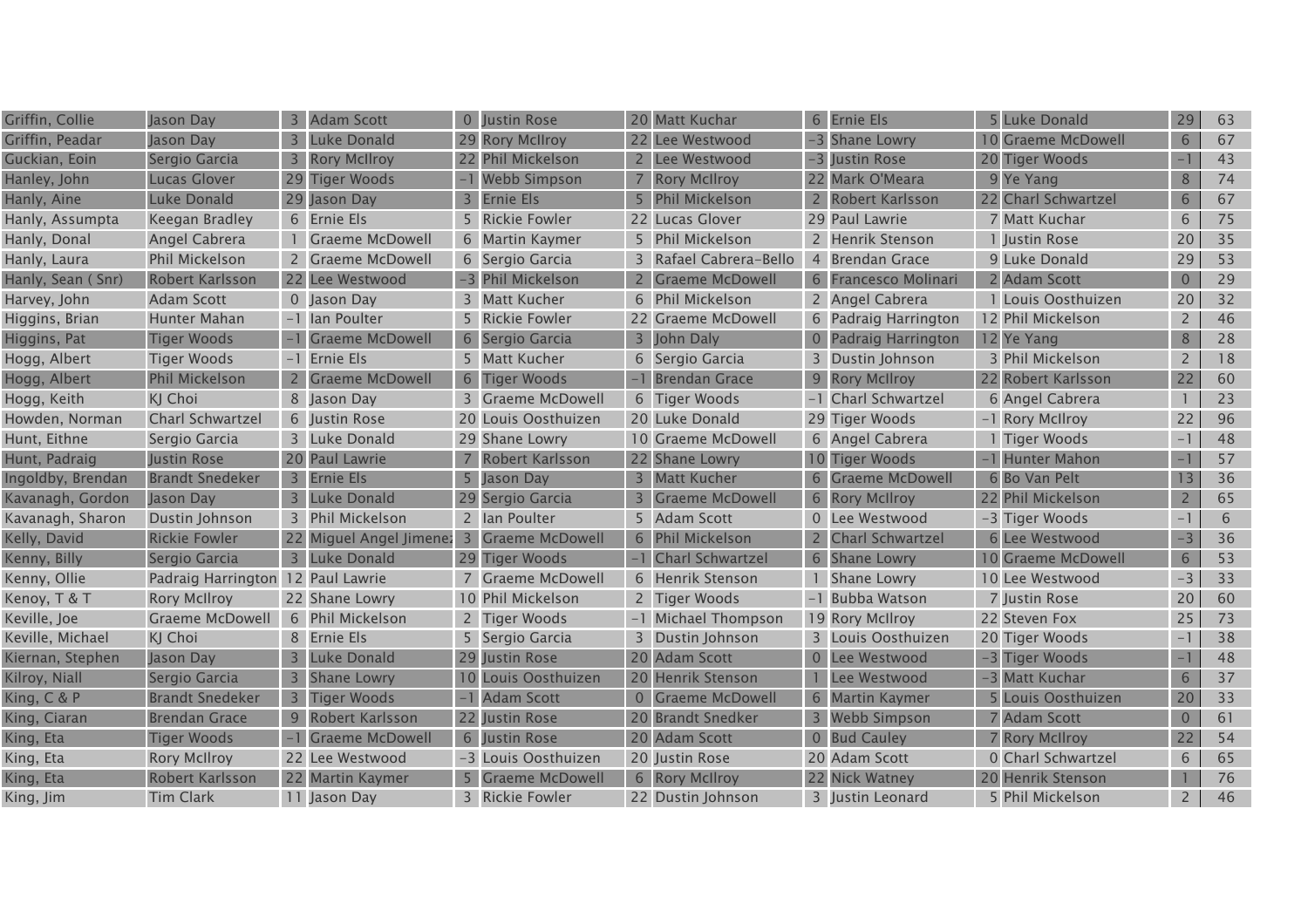| Griffin, Collie   | Jason Day                         | 3              | <b>Adam Scott</b>                         | $\overline{0}$          | <b>Justin Rose</b>     |                | 20 Matt Kuchar         | 6 Ernie Els          | 5 Luke Donald       | 29             | 63 |
|-------------------|-----------------------------------|----------------|-------------------------------------------|-------------------------|------------------------|----------------|------------------------|----------------------|---------------------|----------------|----|
| Griffin, Peadar   | Jason Day                         | $\overline{3}$ | Luke Donald                               | 29                      | <b>Rory McIlroy</b>    |                | 22 Lee Westwood        | -3 Shane Lowry       | 10 Graeme McDowell  | 6              | 67 |
| Guckian, Eoin     | Sergio Garcia                     | 3              | <b>Rory McIlroy</b>                       |                         | <b>Phil Mickelson</b>  | $\overline{2}$ | Lee Westwood           | -3 Justin Rose       | 20 Tiger Woods      |                | 43 |
| Hanley, John      | Lucas Glover                      |                | 29 Tiger Woods                            |                         | <b>Webb Simpson</b>    |                | <b>Rory McIlroy</b>    | 22 Mark O'Meara      | 9 Ye Yang           | 8              | 74 |
| Hanly, Aine       | Luke Donald                       |                | 29 Jason Day                              | $\overline{\mathbf{3}}$ | <b>Ernie Els</b>       |                | <b>Phil Mickelson</b>  | 2 Robert Karlsson    | 22 Charl Schwartzel | 6              | 67 |
| Hanly, Assumpta   | Keegan Bradley                    |                | 6 Ernie Els                               |                         | 5 Rickie Fowler        |                | 22 Lucas Glover        | 29 Paul Lawrie       | 7 Matt Kuchar       | 6              | 75 |
| Hanly, Donal      | Angel Cabrera                     |                | <b>Graeme McDowell</b>                    |                         | 6 Martin Kaymer        |                | 5 Phil Mickelson       | 2 Henrik Stenson     | 1 Justin Rose       | 20             | 35 |
| Hanly, Laura      | <b>Phil Mickelson</b>             |                | 2 Graeme McDowell                         |                         | 6 Sergio Garcia        |                | 3 Rafael Cabrera-Bello | 4 Brendan Grace      | 9 Luke Donald       | 29             | 53 |
| Hanly, Sean (Snr) | Robert Karlsson                   |                | 22 Lee Westwood                           |                         | -3 Phil Mickelson      | $\overline{2}$ | <b>Graeme McDowell</b> | 6 Francesco Molinari | 2 Adam Scott        | $\overline{0}$ | 29 |
| Harvey, John      | Adam Scott                        |                | 0 Jason Day                               | $\overline{3}$          | Matt Kucher            | 6              | Phil Mickelson         | 2 Angel Cabrera      | 1 Louis Oosthuizen  | 20             | 32 |
| Higgins, Brian    | Hunter Mahan                      |                | -1 Ian Poulter                            |                         | <b>Rickie Fowler</b>   |                | 22 Graeme McDowell     | 6 Padraig Harrington | 12 Phil Mickelson   | $\overline{2}$ | 46 |
| Higgins, Pat      | <b>Tiger Woods</b>                |                | <b>Graeme McDowell</b>                    | 6                       | Sergio Garcia          |                | John Daly              | 0 Padraig Harrington | 12 Ye Yang          | 8              | 28 |
| Hogg, Albert      | <b>Tiger Woods</b>                |                | -1 Ernie Els                              |                         | 5 Matt Kucher          |                | 6 Sergio Garcia        | 3 Dustin Johnson     | 3 Phil Mickelson    | $\overline{2}$ | 18 |
| Hogg, Albert      | <b>Phil Mickelson</b>             | 2 <sup>1</sup> | <b>Graeme McDowell</b>                    | 6                       | <b>Tiger Woods</b>     |                | -1 Brendan Grace       | 9 Rory McIlroy       | 22 Robert Karlsson  | 22             | 60 |
| Hogg, Keith       | KJ Choi                           |                | 8 Jason Day                               |                         | 3 Graeme McDowell      |                | 6 Tiger Woods          | -1 Charl Schwartzel  | 6 Angel Cabrera     |                | 23 |
| Howden, Norman    | <b>Charl Schwartzel</b>           |                | 6 Iustin Rose                             | 20                      | Louis Oosthuizen       |                | 20 Luke Donald         | 29 Tiger Woods       | -1 Rory McIlroy     | 22             | 96 |
| Hunt, Eithne      | Sergio Garcia                     |                | 3 Luke Donald                             |                         | 29 Shane Lowry         |                | 10 Graeme McDowell     | 6 Angel Cabrera      | 1 Tiger Woods       | $-1$           | 48 |
| Hunt, Padraig     | Justin Rose                       |                | 20 Paul Lawrie                            |                         | Robert Karlsson        |                | 22 Shane Lowry         | 10 Tiger Woods       | -1 Hunter Mahon     | $\mathbf{=}$   | 57 |
| Ingoldby, Brendan | <b>Brandt Snedeker</b>            |                | 3 Ernie Els                               |                         | Jason Day              | $\overline{3}$ | <b>Matt Kucher</b>     | 6 Graeme McDowell    | 6 Bo Van Pelt       | 13             | 36 |
| Kavanagh, Gordon  | Jason Day                         | $\mathbf{3}$   | <b>Luke Donald</b>                        |                         | Sergio Garcia          |                | <b>Graeme McDowell</b> | 6 Rory McIlroy       | 22 Phil Mickelson   | $\overline{2}$ | 65 |
| Kavanagh, Sharon  | Dustin Johnson                    |                | 3 Phil Mickelson                          |                         | 2 Ian Poulter          |                | <b>Adam Scott</b>      | 0 Lee Westwood       | -3 Tiger Woods      | $-1$           | 6  |
| Kelly, David      | <b>Rickie Fowler</b>              |                | 22 Miguel Angel Jimene: 3 Graeme McDowell |                         |                        |                | 6 Phil Mickelson       | 2 Charl Schwartzel   | 6 Lee Westwood      | $-3$           | 36 |
| Kenny, Billy      | Sergio Garcia                     |                | 3 Luke Donald                             |                         | 29 Tiger Woods         |                | -1 Charl Schwartzel    | 6 Shane Lowry        | 10 Graeme McDowell  | $6\phantom{.}$ | 53 |
| Kenny, Ollie      | Padraig Harrington 12 Paul Lawrie |                |                                           |                         | 7 Graeme McDowell      |                | 6 Henrik Stenson       | Shane Lowry          | 10 Lee Westwood     | $-3$           | 33 |
| Kenoy, T & T      | <b>Rory McIlroy</b>               |                | 22 Shane Lowry                            |                         | 10 Phil Mickelson      |                | 2 Tiger Woods          | -1 Bubba Watson      | 7 Justin Rose       | 20             | 60 |
| Keville, Joe      | <b>Graeme McDowell</b>            |                | 6 Phil Mickelson                          | $2^{\circ}$             | Tiger Woods            |                | -1 Michael Thompson    | 19 Rory McIlroy      | 22 Steven Fox       | 25             | 73 |
| Keville, Michael  | KJ Choi                           |                | 8 Ernie Els                               |                         | 5 Sergio Garcia        | 3              | Dustin Johnson         | 3 Louis Oosthuizen   | 20 Tiger Woods      | $-1$           | 38 |
| Kiernan, Stephen  | Jason Day                         |                | <b>Luke Donald</b>                        | 29                      | Justin Rose            |                | 20 Adam Scott          | 0 Lee Westwood       | -3 Tiger Woods      |                | 48 |
| Kilroy, Niall     | Sergio Garcia                     |                | 3 Shane Lowry                             |                         | Louis Oosthuizen       |                | 20 Henrik Stenson      | Lee Westwood         | -3 Matt Kuchar      | 6              | 37 |
| King, C & P       | <b>Brandt Snedeker</b>            | $\overline{3}$ | <b>Tiger Woods</b>                        |                         | <b>Adam Scott</b>      |                | 0 Graeme McDowell      | 6 Martin Kaymer      | 5 Louis Oosthuizen  | 20             | 33 |
| King, Ciaran      | <b>Brendan Grace</b>              |                | 9 Robert Karlsson                         | 22                      | Justin Rose            |                | 20 Brandt Snedker      | 3 Webb Simpson       | 7 Adam Scott        | $\overline{0}$ | 61 |
| King, Eta         | <b>Tiger Woods</b>                | $-1$           | <b>Graeme McDowell</b>                    | 6                       | Justin Rose            |                | 20 Adam Scott          | 0 Bud Cauley         | 7 Rory McIlroy      | 22             | 54 |
| King, Eta         | <b>Rory McIlroy</b>               |                | 22 Lee Westwood                           |                         | -3 Louis Oosthuizen    |                | 20 Justin Rose         | 20 Adam Scott        | 0 Charl Schwartzel  | 6              | 65 |
| King, Eta         | Robert Karlsson                   |                | 22 Martin Kaymer                          |                         | <b>Graeme McDowell</b> |                | 6 Rory McIlroy         | 22 Nick Watney       | 20 Henrik Stenson   |                | 76 |
| King, Jim         | <b>Tim Clark</b>                  |                | 11 Jason Day                              |                         | 3 Rickie Fowler        |                | 22 Dustin Johnson      | 3 Justin Leonard     | 5 Phil Mickelson    | $2^{\circ}$    | 46 |
|                   |                                   |                |                                           |                         |                        |                |                        |                      |                     |                |    |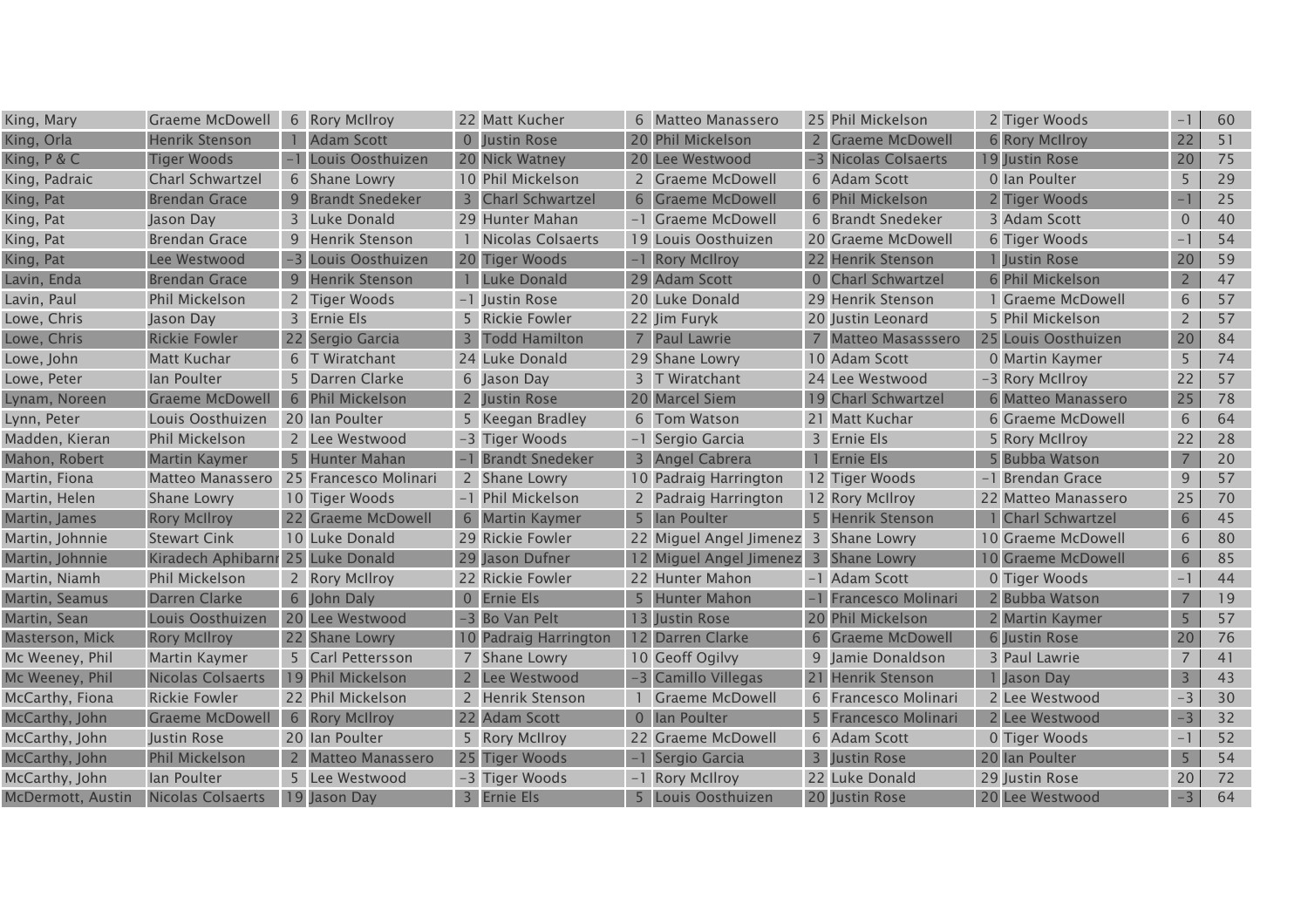| King, Mary        | Graeme McDowell                   |                | 6 Rory McIlroy          |                | 22 Matt Kucher         | 6 | Matteo Manassero                      | 25 Phil Mickelson         | 2 Tiger Woods          |                | 60 |
|-------------------|-----------------------------------|----------------|-------------------------|----------------|------------------------|---|---------------------------------------|---------------------------|------------------------|----------------|----|
| King, Orla        | <b>Henrik Stenson</b>             |                | <b>Adam Scott</b>       | $\overline{0}$ | Justin Rose            |   | 20 Phil Mickelson                     | 2 Graeme McDowell         | <b>6 Rory McIlroy</b>  | 22             | 51 |
| King, $P & C$     | <b>Tiger Woods</b>                |                | Louis Oosthuizen        |                | 20 Nick Watney         |   | 20 Lee Westwood                       | -3 Nicolas Colsaerts      | 19 Justin Rose         | 20             | 75 |
| King, Padraic     | <b>Charl Schwartzel</b>           |                | 6 Shane Lowry           |                | 10 Phil Mickelson      |   | 2 Graeme McDowell                     | 6 Adam Scott              | 0 Ian Poulter          | 5              | 29 |
| King, Pat         | <b>Brendan Grace</b>              |                | 9 Brandt Snedeker       |                | 3 Charl Schwartzel     |   | 6 Graeme McDowell                     | 6 Phil Mickelson          | 2 Tiger Woods          | $-1$           | 25 |
| King, Pat         | Jason Day                         |                | 3 Luke Donald           |                | 29 Hunter Mahan        |   | -1 Graeme McDowell                    | 6 Brandt Snedeker         | 3 Adam Scott           | $\overline{0}$ | 40 |
| King, Pat         | <b>Brendan Grace</b>              |                | 9 Henrik Stenson        |                | Nicolas Colsaerts      |   | 19 Louis Oosthuizen                   | 20 Graeme McDowell        | 6 Tiger Woods          | $-1$           | 54 |
| King, Pat         | Lee Westwood                      | $-3$           | Louis Oosthuizen        |                | 20 Tiger Woods         |   | -1 Rory McIlroy                       | 22 Henrik Stenson         | 1 Justin Rose          | 20             | 59 |
| Lavin, Enda       | <b>Brendan Grace</b>              | 9              | Henrik Stenson          |                | Luke Donald            |   | 29 Adam Scott                         | 0 Charl Schwartzel        | 6 Phil Mickelson       | $\overline{2}$ | 47 |
| Lavin, Paul       | <b>Phil Mickelson</b>             |                | 2 Tiger Woods           |                | Justin Rose            |   | 20 Luke Donald                        | 29 Henrik Stenson         | <b>Graeme McDowell</b> | 6              | 57 |
| Lowe, Chris       | Jason Day                         |                | 3 Ernie Els             |                | 5 Rickie Fowler        |   | 22 Jim Furyk                          | 20 Justin Leonard         | 5 Phil Mickelson       | $\overline{2}$ | 57 |
| Lowe, Chris       | <b>Rickie Fowler</b>              |                | 22 Sergio Garcia        |                | <b>Todd Hamilton</b>   |   | 7 Paul Lawrie                         | 7 Matteo Masasssero       | 25 Louis Oosthuizen    | 20             | 84 |
| Lowe, John        | Matt Kuchar                       |                | 6 T Wiratchant          |                | 24 Luke Donald         |   | 29 Shane Lowry                        | 10 Adam Scott             | 0 Martin Kaymer        | 5              | 74 |
| Lowe, Peter       | lan Poulter                       |                | 5 Darren Clarke         |                | 6 Jason Day            |   | 3 T Wiratchant                        | 24 Lee Westwood           | -3 Rory McIlroy        | 22             | 57 |
| Lynam, Noreen     | <b>Graeme McDowell</b>            |                | 6 Phil Mickelson        |                | <b>Justin Rose</b>     |   | 20 Marcel Siem                        | 19 Charl Schwartzel       | 6 Matteo Manassero     | 25             | 78 |
| Lynn, Peter       | Louis Oosthuizen                  |                | 20 Ian Poulter          |                | 5 Keegan Bradley       |   | 6 Tom Watson                          | 21 Matt Kuchar            | 6 Graeme McDowell      | 6              | 64 |
| Madden, Kieran    | <b>Phil Mickelson</b>             |                | 2 Lee Westwood          |                | -3 Tiger Woods         |   | -1 Sergio Garcia                      | 3 Ernie Els               | 5 Rory McIlroy         | 22             | 28 |
| Mahon, Robert     | <b>Martin Kaymer</b>              | 5 <sup>5</sup> | Hunter Mahan            |                | <b>Brandt Snedeker</b> |   | 3 Angel Cabrera                       | 1 Ernie Els               | 5 Bubba Watson         | 7              | 20 |
| Martin, Fiona     | Matteo Manassero                  |                | 25 Francesco Molinari   |                | 2 Shane Lowry          |   | 10 Padraig Harrington                 | 12 Tiger Woods            | -1 Brendan Grace       | 9              | 57 |
| Martin, Helen     | <b>Shane Lowry</b>                |                | 10 Tiger Woods          |                | -1 Phil Mickelson      |   | 2 Padraig Harrington                  | 12 Rory McIlroy           | 22 Matteo Manassero    | 25             | 70 |
| Martin, James     | <b>Rory McIlroy</b>               |                | 22 Graeme McDowell      | 6              | <b>Martin Kaymer</b>   |   | 5 Ian Poulter                         | 5 Henrik Stenson          | 1 Charl Schwartzel     | 6              | 45 |
| Martin, Johnnie   | <b>Stewart Cink</b>               |                | 10 Luke Donald          |                | 29 Rickie Fowler       |   | 22 Miguel Angel Jimenez 3 Shane Lowry |                           | 10 Graeme McDowell     | 6              | 80 |
| Martin, Johnnie   | Kiradech Aphibarnr 25 Luke Donald |                |                         |                | 29 Jason Dufner        |   | 12 Miguel Angel Jimenez 3 Shane Lowry |                           | 10 Graeme McDowell     | 6              | 85 |
| Martin, Niamh     | <b>Phil Mickelson</b>             |                | 2 Rory McIlroy          |                | 22 Rickie Fowler       |   | 22 Hunter Mahon                       | -1 Adam Scott             | 0 Tiger Woods          | $-1$           | 44 |
| Martin, Seamus    | Darren Clarke                     | 6              | John Daly               |                | 0 Ernie Els            | 5 | <b>Hunter Mahon</b>                   | <b>Francesco Molinari</b> | 2 Bubba Watson         | 7              | 19 |
| Martin, Sean      | Louis Oosthuizen                  |                | 20 Lee Westwood         |                | -3 Bo Van Pelt         |   | 13 Justin Rose                        | 20 Phil Mickelson         | 2 Martin Kaymer        |                | 57 |
| Masterson, Mick   | <b>Rory McIlroy</b>               |                | 22 Shane Lowry          |                | 10 Padraig Harrington  |   | 12 Darren Clarke                      | 6 Graeme McDowell         | 6 Justin Rose          | 20             | 76 |
| Mc Weeney, Phil   | Martin Kaymer                     |                | 5 Carl Pettersson       |                | 7 Shane Lowry          |   | 10 Geoff Ogilvy                       | 9 Jamie Donaldson         | 3 Paul Lawrie          | $\overline{7}$ | 41 |
| Mc Weeney, Phil   | Nicolas Colsaerts                 |                | 19 Phil Mickelson       |                | Lee Westwood           |   | -3 Camillo Villegas                   | 21 Henrik Stenson         | 1 Jason Day            | $\overline{3}$ | 43 |
| McCarthy, Fiona   | <b>Rickie Fowler</b>              |                | 22 Phil Mickelson       |                | 2 Henrik Stenson       |   | <b>Graeme McDowell</b>                | 6 Francesco Molinari      | 2 Lee Westwood         | $-3$           | 30 |
| McCarthy, John    | <b>Graeme McDowell</b>            |                | 6 Rory McIlroy          |                | <b>Adam Scott</b>      |   | 0 Ian Poulter                         | 5 Francesco Molinari      | 2 Lee Westwood         | $-3$           | 32 |
| McCarthy, John    | Justin Rose                       |                | 20 Ian Poulter          |                | 5 Rory McIIroy         |   | 22 Graeme McDowell                    | 6 Adam Scott              | 0 Tiger Woods          | $-1$           | 52 |
| McCarthy, John    | <b>Phil Mickelson</b>             |                | <b>Matteo Manassero</b> | 25             | <b>Tiger Woods</b>     |   | Sergio Garcia                         | 3 Justin Rose             | 20 Ian Poulter         | 5              | 54 |
| McCarthy, John    | lan Poulter                       |                | 5 Lee Westwood          |                | -3 Tiger Woods         |   | -1 Rory McIlroy                       | 22 Luke Donald            | 29 Justin Rose         | 20             | 72 |
| McDermott, Austin | Nicolas Colsaerts                 |                | 19 Jason Day            |                | 3 Ernie Els            |   | 5 Louis Oosthuizen                    | 20 Justin Rose            | 20 Lee Westwood        | $-3$           | 64 |
|                   |                                   |                |                         |                |                        |   |                                       |                           |                        |                |    |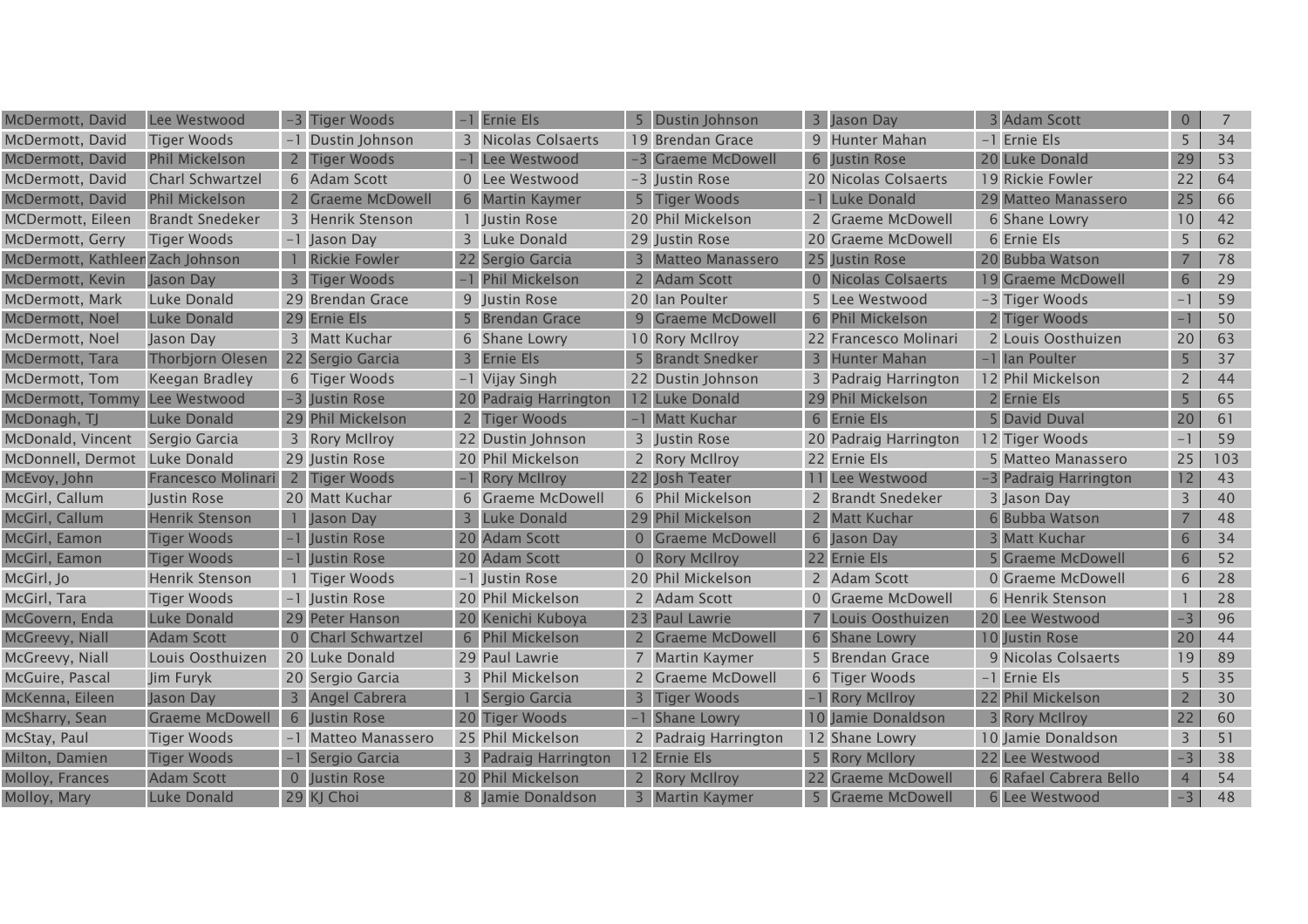| McDermott, David                 | Lee Westwood            |                | -3 Tiger Woods          |                | <b>Ernie Els</b>          | <b>Dustin Johnson</b> |                | 3 Jason Day           | <b>Adam Scott</b>      | $\overline{0}$ | 7   |
|----------------------------------|-------------------------|----------------|-------------------------|----------------|---------------------------|-----------------------|----------------|-----------------------|------------------------|----------------|-----|
| McDermott, David                 | <b>Tiger Woods</b>      |                | Dustin Johnson          |                | 3 Nicolas Colsaerts       | 19 Brendan Grace      |                | 9 Hunter Mahan        | -1 Ernie Els           | 5              | 34  |
| McDermott, David                 | <b>Phil Mickelson</b>   |                | <b>Tiger Woods</b>      |                | Lee Westwood              | -3 Graeme McDowell    |                | 6 Justin Rose         | 20 Luke Donald         | 29             | 53  |
| McDermott, David                 | <b>Charl Schwartzel</b> |                | 6 Adam Scott            |                | 0 Lee Westwood            | -3 Justin Rose        |                | 20 Nicolas Colsaerts  | 19 Rickie Fowler       | 22             | 64  |
| McDermott, David                 | <b>Phil Mickelson</b>   |                | 2 Graeme McDowell       |                | 6 Martin Kaymer           | 5 Tiger Woods         |                | -1 Luke Donald        | 29 Matteo Manassero    | 25             | 66  |
| MCDermott, Eileen                | <b>Brandt Snedeker</b>  |                | 3 Henrik Stenson        |                | 1 Justin Rose             | 20 Phil Mickelson     |                | 2 Graeme McDowell     | 6 Shane Lowry          | 10             | 42  |
| McDermott, Gerry                 | <b>Tiger Woods</b>      |                | -1 Jason Day            |                | 3 Luke Donald             | 29 Justin Rose        |                | 20 Graeme McDowell    | 6 Ernie Els            | 5              | 62  |
| McDermott, Kathleer Zach Johnson |                         |                | <b>Rickie Fowler</b>    |                | 22 Sergio Garcia          | 3 Matteo Manassero    |                | 25 Justin Rose        | 20 Bubba Watson        | 7              | 78  |
| McDermott, Kevin                 | Jason Day               |                | <b>Tiger Woods</b>      |                | <b>Phil Mickelson</b>     | 2 Adam Scott          |                | 0 Nicolas Colsaerts   | 19 Graeme McDowell     | 6              | 29  |
| McDermott, Mark                  | Luke Donald             |                | 29 Brendan Grace        |                | 9 Justin Rose             | 20 Ian Poulter        |                | 5 Lee Westwood        | -3 Tiger Woods         | $-1$           | 59  |
| McDermott, Noel                  | Luke Donald             | 29             | Ernie Els               |                | <b>Brendan Grace</b>      | 9 Graeme McDowell     |                | 6 Phil Mickelson      | 2 Tiger Woods          |                | 50  |
| McDermott, Noel                  | Jason Day               |                | 3 Matt Kuchar           |                | 6 Shane Lowry             | 10 Rory McIlroy       |                | 22 Francesco Molinari | 2 Louis Oosthuizen     | 20             | 63  |
| McDermott, Tara                  | <b>Thorbjorn Olesen</b> |                | 22 Sergio Garcia        | $\overline{3}$ | <b>Ernie Els</b>          | 5 Brandt Snedker      |                | 3 Hunter Mahan        | -1 Ian Poulter         | 5              | 37  |
| McDermott, Tom                   | Keegan Bradley          |                | 6 Tiger Woods           |                | -1 Vijay Singh            | 22 Dustin Johnson     |                | 3 Padraig Harrington  | 12 Phil Mickelson      | $2^{\circ}$    | 44  |
| McDermott, Tommy                 | Lee Westwood            |                | -3 Justin Rose          | 20             | <b>Padraig Harrington</b> | 12 Luke Donald        |                | 29 Phil Mickelson     | 2 Ernie Els            | 5              | 65  |
| McDonagh, TJ                     | Luke Donald             |                | 29 Phil Mickelson       | $\overline{2}$ | <b>Tiger Woods</b>        | -1 Matt Kuchar        |                | 6 Ernie Els           | 5 David Duval          | 20             | 61  |
| McDonald, Vincent                | Sergio Garcia           |                | 3 Rory McIlroy          |                | 22 Dustin Johnson         | 3 Justin Rose         |                | 20 Padraig Harrington | 12 Tiger Woods         | $-1$           | 59  |
| McDonnell, Dermot                | Luke Donald             |                | 29 Justin Rose          |                | 20 Phil Mickelson         | 2 Rory McIlroy        |                | 22 Ernie Els          | 5 Matteo Manassero     | 25             | 103 |
| McEvoy, John                     | Francesco Molinari      | $2^{\circ}$    | <b>Tiger Woods</b>      |                | <b>Rory McIlroy</b>       | 22 Josh Teater        |                | 11 Lee Westwood       | -3 Padraig Harrington  | 12             | 43  |
| McGirl, Callum                   | Justin Rose             |                | 20 Matt Kuchar          |                | 6 Graeme McDowell         | 6 Phil Mickelson      |                | 2 Brandt Snedeker     | 3 Jason Day            | 3              | 40  |
| McGirl, Callum                   | <b>Henrik Stenson</b>   |                | Jason Day               | $\overline{3}$ | <b>Luke Donald</b>        | 29 Phil Mickelson     |                | 2 Matt Kuchar         | 6 Bubba Watson         | $\overline{7}$ | 48  |
| McGirl, Eamon                    | <b>Tiger Woods</b>      |                | Justin Rose             |                | 20 Adam Scott             | 0 Graeme McDowell     |                | 6 Jason Day           | 3 Matt Kuchar          | 6              | 34  |
| McGirl, Eamon                    | <b>Tiger Woods</b>      |                | Justin Rose             |                | 20 Adam Scott             | 0 Rory McIlroy        |                | 22 Ernie Els          | 5 Graeme McDowell      | 6              | 52  |
| McGirl, Jo                       | <b>Henrik Stenson</b>   |                | <b>Tiger Woods</b>      |                | -1 Justin Rose            | 20 Phil Mickelson     |                | 2 Adam Scott          | 0 Graeme McDowell      | 6              | 28  |
| McGirl, Tara                     | <b>Tiger Woods</b>      |                | -1 Justin Rose          |                | 20 Phil Mickelson         | 2 Adam Scott          |                | 0 Graeme McDowell     | 6 Henrik Stenson       |                | 28  |
| McGovern, Enda                   | Luke Donald             |                | 29 Peter Hanson         |                | 20 Kenichi Kuboya         | 23 Paul Lawrie        | $\overline{7}$ | Louis Oosthuizen      | 20 Lee Westwood        | $-3$           | 96  |
| McGreevy, Niall                  | <b>Adam Scott</b>       |                | <b>Charl Schwartzel</b> |                | 6 Phil Mickelson          | 2 Graeme McDowell     |                | 6 Shane Lowry         | 10 Justin Rose         | 20             | 44  |
| McGreevy, Niall                  | Louis Oosthuizen        |                | 20 Luke Donald          |                | 29 Paul Lawrie            | 7 Martin Kaymer       |                | 5 Brendan Grace       | 9 Nicolas Colsaerts    | 19             | 89  |
| McGuire, Pascal                  | Jim Furyk               |                | 20 Sergio Garcia        |                | 3 Phil Mickelson          | 2 Graeme McDowell     |                | 6 Tiger Woods         | -1 Ernie Els           | 5              | 35  |
| McKenna, Eileen                  | Jason Day               | 3 <sup>1</sup> | Angel Cabrera           |                | Sergio Garcia             | 3 Tiger Woods         |                | -1 Rory McIlroy       | 22 Phil Mickelson      | $\overline{2}$ | 30  |
| McSharry, Sean                   | <b>Graeme McDowell</b>  |                | 6 Justin Rose           |                | 20 Tiger Woods            | Shane Lowry           |                | 10 Jamie Donaldson    | 3 Rory McIlroy         | 22             | 60  |
| McStay, Paul                     | <b>Tiger Woods</b>      |                | <b>Matteo Manassero</b> |                | 25 Phil Mickelson         | 2 Padraig Harrington  |                | 12 Shane Lowry        | 10 Jamie Donaldson     | $\overline{3}$ | 51  |
| Milton, Damien                   | <b>Tiger Woods</b>      |                | Sergio Garcia           | $\overline{3}$ | Padraig Harrington        | 12 Ernie Els          |                | 5 Rory McIlory        | 22 Lee Westwood        | $-3$           | 38  |
| Molloy, Frances                  | <b>Adam Scott</b>       |                | 0 Justin Rose           |                | 20 Phil Mickelson         | 2 Rory McIlroy        |                | 22 Graeme McDowell    | 6 Rafael Cabrera Bello | $\overline{4}$ | 54  |
| Molloy, Mary                     | Luke Donald             |                | 29 KJ Choi              |                | 8 Jamie Donaldson         | 3 Martin Kaymer       |                | 5 Graeme McDowell     | 6 Lee Westwood         | $-3$           | 48  |
|                                  |                         |                |                         |                |                           |                       |                |                       |                        |                |     |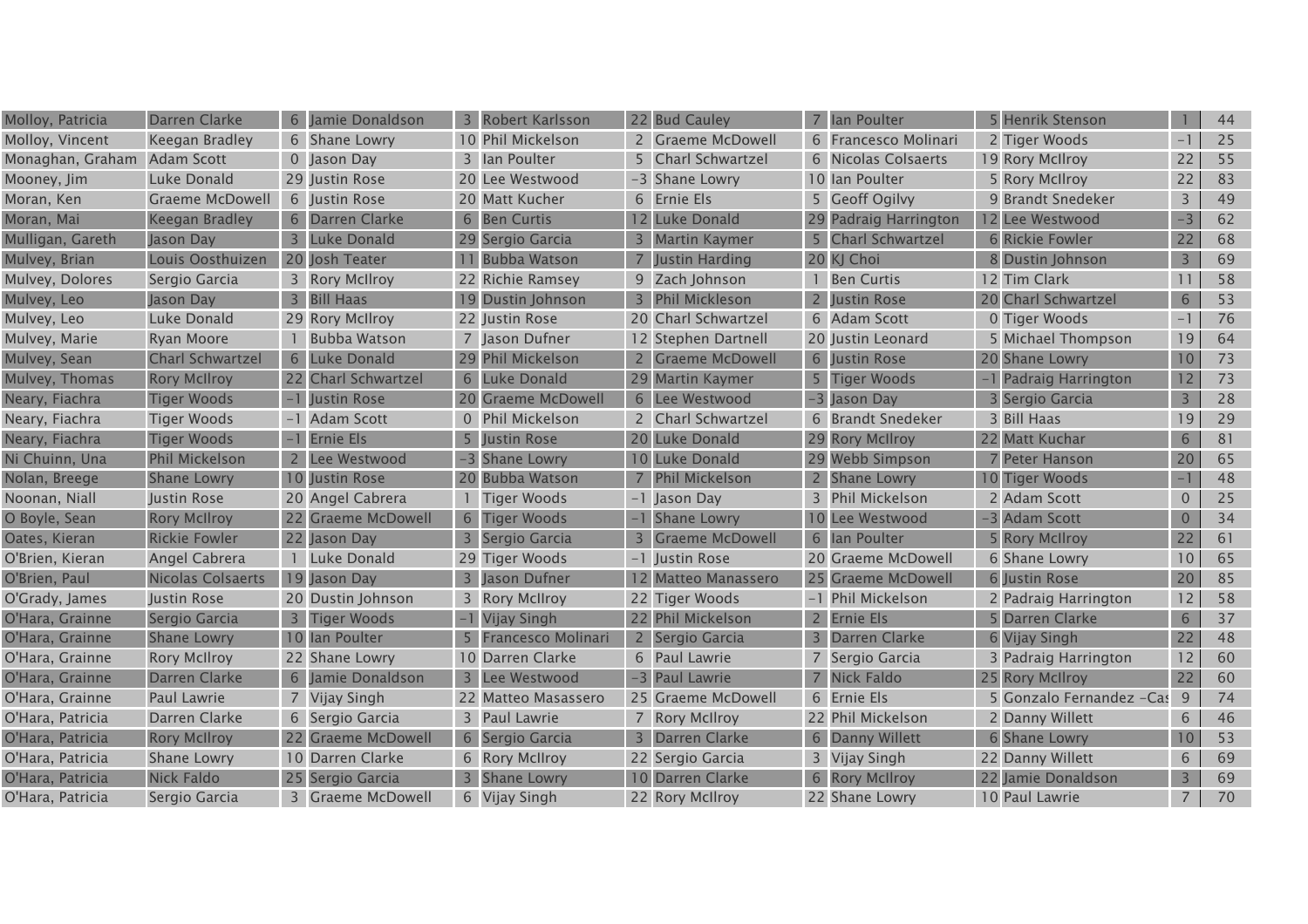| Molloy, Patricia | Darren Clarke            | 6              | Jamie Donaldson        | $\overline{\mathbf{3}}$ | Robert Karlsson       | 22 Bud Cauley         | $7^{\circ}$ | lan Poulter           | 5 Henrik Stenson         |                 | 44 |
|------------------|--------------------------|----------------|------------------------|-------------------------|-----------------------|-----------------------|-------------|-----------------------|--------------------------|-----------------|----|
| Molloy, Vincent  | Keegan Bradley           |                | 6 Shane Lowry          |                         | 10 Phil Mickelson     | 2 Graeme McDowell     |             | 6 Francesco Molinari  | 2 Tiger Woods            | $-1$            | 25 |
| Monaghan, Graham | Adam Scott               |                | 0 Jason Day            |                         | 3 Ian Poulter         | 5 Charl Schwartzel    |             | 6 Nicolas Colsaerts   | 19 Rory McIlroy          | 22              | 55 |
| Mooney, Jim      | Luke Donald              |                | 29 Justin Rose         |                         | 20 Lee Westwood       | -3 Shane Lowry        |             | 10 Ian Poulter        | 5 Rory McIlroy           | 22              | 83 |
| Moran, Ken       | Graeme McDowell          |                | 6 Justin Rose          |                         | 20 Matt Kucher        | 6 Ernie Els           |             | 5 Geoff Ogilvy        | 9 Brandt Snedeker        | 3               | 49 |
| Moran, Mai       | <b>Keegan Bradley</b>    | 6              | Darren Clarke          |                         | 6 Ben Curtis          | 12 Luke Donald        |             | 29 Padraig Harrington | 12 Lee Westwood          | $-3$            | 62 |
| Mulligan, Gareth | Jason Day                | 3              | Luke Donald            |                         | 29 Sergio Garcia      | 3 Martin Kaymer       |             | 5 Charl Schwartzel    | <b>6 Rickie Fowler</b>   | 22              | 68 |
| Mulvey, Brian    | Louis Oosthuizen         |                | 20 Josh Teater         |                         | 11 Bubba Watson       | <b>Justin Harding</b> |             | 20 KJ Choi            | 8 Dustin Johnson         | $\overline{3}$  | 69 |
| Mulvey, Dolores  | Sergio Garcia            |                | 3 Rory McIlroy         |                         | 22 Richie Ramsey      | 9 Zach Johnson        |             | <b>Ben Curtis</b>     | 12 Tim Clark             | 11              | 58 |
| Mulvey, Leo      | Jason Day                | 3              | <b>Bill Haas</b>       | 19                      | Dustin Johnson        | 3 Phil Mickleson      |             | Justin Rose           | 20 Charl Schwartzel      | 6               | 53 |
| Mulvey, Leo      | Luke Donald              |                | 29 Rory McIlroy        |                         | 22 Justin Rose        | 20 Charl Schwartzel   |             | 6 Adam Scott          | 0 Tiger Woods            | $-1$            | 76 |
| Mulvey, Marie    | Ryan Moore               |                | <b>Bubba Watson</b>    |                         | 7 Jason Dufner        | 12 Stephen Dartnell   |             | 20 Justin Leonard     | 5 Michael Thompson       | 19              | 64 |
| Mulvey, Sean     | <b>Charl Schwartzel</b>  | 6              | Luke Donald            |                         | 29 Phil Mickelson     | 2 Graeme McDowell     |             | 6 Justin Rose         | 20 Shane Lowry           | 10              | 73 |
| Mulvey, Thomas   | <b>Rory McIlroy</b>      |                | 22 Charl Schwartzel    | 6                       | Luke Donald           | 29 Martin Kaymer      |             | 5 Tiger Woods         | -1 Padraig Harrington    | 12              | 73 |
| Neary, Fiachra   | <b>Tiger Woods</b>       |                | Justin Rose            |                         | 20 Graeme McDowell    | 6 Lee Westwood        |             | -3 Jason Day          | 3 Sergio Garcia          | $\overline{3}$  | 28 |
| Neary, Fiachra   | <b>Tiger Woods</b>       |                | <b>Adam Scott</b>      | $\overline{0}$          | <b>Phil Mickelson</b> | 2 Charl Schwartzel    |             | 6 Brandt Snedeker     | 3 Bill Haas              | 19              | 29 |
| Neary, Fiachra   | <b>Tiger Woods</b>       |                | <b>Ernie Els</b>       | 5                       | <b>Justin Rose</b>    | 20 Luke Donald        |             | 29 Rory McIlroy       | 22 Matt Kuchar           | 6               | 81 |
| Ni Chuinn, Una   | <b>Phil Mickelson</b>    |                | Lee Westwood           |                         | <b>Shane Lowry</b>    | 10 Luke Donald        |             | 29 Webb Simpson       | 7 Peter Hanson           | 20              | 65 |
| Nolan, Breege    | <b>Shane Lowry</b>       |                | 10 Justin Rose         |                         | 20 Bubba Watson       | 7 Phil Mickelson      |             | 2 Shane Lowry         | 10 Tiger Woods           |                 | 48 |
| Noonan, Niall    | Justin Rose              |                | 20 Angel Cabrera       |                         | Tiger Woods           | -1 Jason Day          |             | 3 Phil Mickelson      | 2 Adam Scott             | 0               | 25 |
| O Boyle, Sean    | <b>Rory McIlroy</b>      | 22             | <b>Graeme McDowell</b> | 6                       | <b>Tiger Woods</b>    | -1 Shane Lowry        |             | 10 Lee Westwood       | -3 Adam Scott            | $\overline{0}$  | 34 |
| Oates, Kieran    | <b>Rickie Fowler</b>     |                | 22 Jason Day           |                         | Sergio Garcia         | 3 Graeme McDowell     |             | 6 Ian Poulter         | 5 Rory McIlroy           | 22              | 61 |
| O'Brien, Kieran  | Angel Cabrera            |                | Luke Donald            |                         | 29 Tiger Woods        | -1 Justin Rose        |             | 20 Graeme McDowell    | 6 Shane Lowry            | 10              | 65 |
| O'Brien, Paul    | <b>Nicolas Colsaerts</b> |                | 19 Jason Day           |                         | Jason Dufner          | 12 Matteo Manassero   |             | 25 Graeme McDowell    | 6 Justin Rose            | 20              | 85 |
| O'Grady, James   | Justin Rose              |                | 20 Dustin Johnson      |                         | 3 Rory McIIroy        | 22 Tiger Woods        |             | -1 Phil Mickelson     | 2 Padraig Harrington     | 12              | 58 |
| O'Hara, Grainne  | Sergio Garcia            |                | <b>Tiger Woods</b>     |                         | Vijay Singh           | 22 Phil Mickelson     |             | 2 Ernie Els           | 5 Darren Clarke          | 6               | 37 |
| O'Hara, Grainne  | <b>Shane Lowry</b>       |                | 10 Ian Poulter         |                         | Francesco Molinari    | 2 Sergio Garcia       |             | 3 Darren Clarke       | 6 Vijay Singh            | 22              | 48 |
| O'Hara, Grainne  | <b>Rory McIlroy</b>      |                | 22 Shane Lowry         |                         | 10 Darren Clarke      | 6 Paul Lawrie         |             | 7 Sergio Garcia       | 3 Padraig Harrington     | 12              | 60 |
| O'Hara, Grainne  | Darren Clarke            | 6              | Jamie Donaldson        | $\overline{3}$          | Lee Westwood          | -3 Paul Lawrie        |             | 7 Nick Faldo          | 25 Rory McIlroy          | 22              | 60 |
| O'Hara, Grainne  | Paul Lawrie              | $\overline{7}$ | <b>Vijay Singh</b>     |                         | 22 Matteo Masassero   | 25 Graeme McDowell    |             | 6 Ernie Els           | 5 Gonzalo Fernandez -Cas | 9               | 74 |
| O'Hara, Patricia | Darren Clarke            |                | 6 Sergio Garcia        |                         | 3 Paul Lawrie         | 7 Rory McIlroy        |             | 22 Phil Mickelson     | 2 Danny Willett          | 6               | 46 |
| O'Hara, Patricia | <b>Rory McIlroy</b>      | 22             | <b>Graeme McDowell</b> |                         | 6 Sergio Garcia       | 3 Darren Clarke       |             | 6 Danny Willett       | 6 Shane Lowry            | 10 <sup>°</sup> | 53 |
| O'Hara, Patricia | <b>Shane Lowry</b>       |                | 10 Darren Clarke       |                         | 6 Rory McIIroy        | 22 Sergio Garcia      |             | 3 Vijay Singh         | 22 Danny Willett         | 6               | 69 |
| O'Hara, Patricia | <b>Nick Faldo</b>        | 25             | Sergio Garcia          |                         | <b>Shane Lowry</b>    | 10 Darren Clarke      |             | 6 Rory McIlroy        | 22 Jamie Donaldson       | $\overline{3}$  | 69 |
| O'Hara, Patricia | Sergio Garcia            |                | 3 Graeme McDowell      |                         | 6 Vijay Singh         | 22 Rory McIlroy       |             | 22 Shane Lowry        | 10 Paul Lawrie           | $\overline{7}$  | 70 |
|                  |                          |                |                        |                         |                       |                       |             |                       |                          |                 |    |